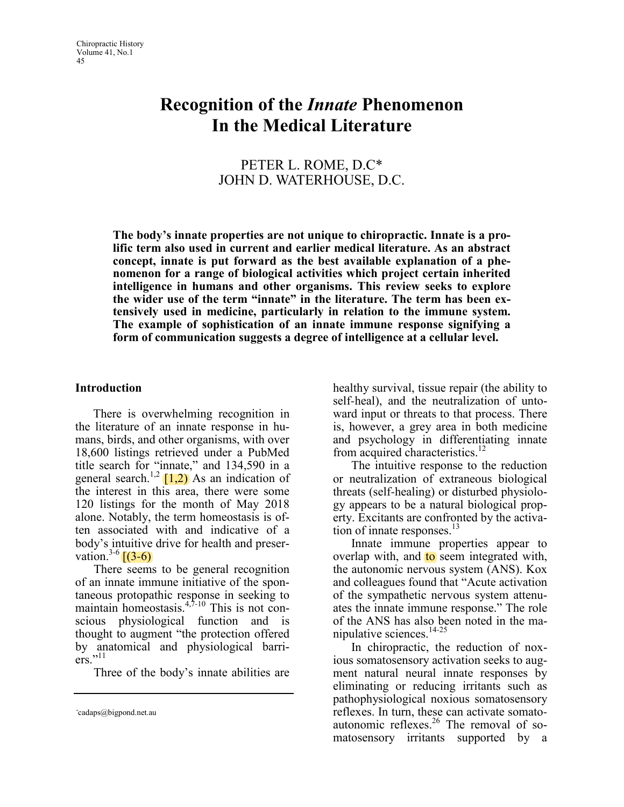# Recognition of the Innate Phenomenon In the Medical Literature

## PETER L. ROME, D.C\* JOHN D. WATERHOUSE, D.C.

The body's innate properties are not unique to chiropractic. Innate is a prolific term also used in current and earlier medical literature. As an abstract concept, innate is put forward as the best available explanation of a phenomenon for a range of biological activities which project certain inherited intelligence in humans and other organisms. This review seeks to explore the wider use of the term "innate" in the literature. The term has been extensively used in medicine, particularly in relation to the immune system. The example of sophistication of an innate immune response signifying a form of communication suggests a degree of intelligence at a cellular level.

#### Introduction

There is overwhelming recognition in the literature of an innate response in humans, birds, and other organisms, with over 18,600 listings retrieved under a PubMed title search for "innate," and 134,590 in a general search.<sup>1,2</sup>  $\left[1,2\right)$  As an indication of the interest in this area, there were some 120 listings for the month of May 2018 alone. Notably, the term homeostasis is often associated with and indicative of a body's intuitive drive for health and preservation.<sup>3-6</sup>  $(3-6)$ 

There seems to be general recognition of an innate immune initiative of the spontaneous protopathic response in seeking to maintain homeostasis.<sup>4,7-10</sup> This is not conscious physiological function and is thought to augment "the protection offered by anatomical and physiological barriers."<sup>11</sup>

Three of the body's innate abilities are

healthy survival, tissue repair (the ability to self-heal), and the neutralization of untoward input or threats to that process. There is, however, a grey area in both medicine and psychology in differentiating innate from acquired characteristics.<sup>12</sup>

The intuitive response to the reduction or neutralization of extraneous biological threats (self-healing) or disturbed physiology appears to be a natural biological property. Excitants are confronted by the activation of innate responses. $13$ 

Innate immune properties appear to overlap with, and to seem integrated with, the autonomic nervous system (ANS). Kox and colleagues found that "Acute activation of the sympathetic nervous system attenuates the innate immune response." The role of the ANS has also been noted in the manipulative sciences.<sup>14-25</sup>

In chiropractic, the reduction of noxious somatosensory activation seeks to augment natural neural innate responses by eliminating or reducing irritants such as pathophysiological noxious somatosensory reflexes. In turn, these can activate somatoautonomic reflexes. $26$  The removal of somatosensory irritants supported by a

<sup>\*</sup>cadaps@bigpond.net.au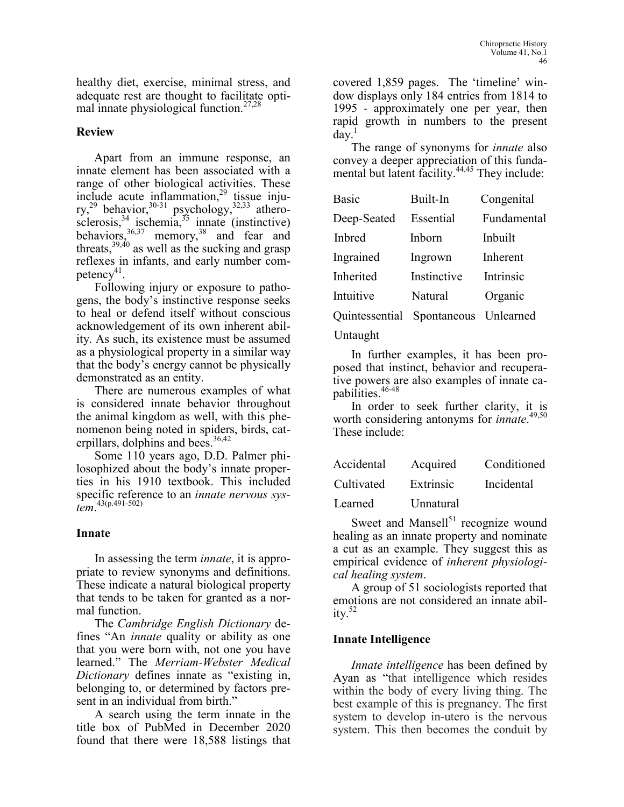healthy diet, exercise, minimal stress, and adequate rest are thought to facilitate optimal innate physiological function.27,28

### Review

Apart from an immune response, an innate element has been associated with a range of other biological activities. These include acute inflammation,<sup>29</sup> tissue injury,<sup>29</sup> behavior,<sup>30-31</sup> psychology,<sup>32,33</sup> atherosclerosis,  $34 \text{ jschemia}$ ,  $35 \text{ imnate}$  (instinctive) behaviors,  $36,37$  memory,  $38$  and fear and threats,<sup>39,40</sup> as well as the sucking and grasp reflexes in infants, and early number competency $41$ .

Following injury or exposure to pathogens, the body's instinctive response seeks to heal or defend itself without conscious acknowledgement of its own inherent ability. As such, its existence must be assumed as a physiological property in a similar way that the body's energy cannot be physically demonstrated as an entity.

There are numerous examples of what is considered innate behavior throughout the animal kingdom as well, with this phenomenon being noted in spiders, birds, caterpillars, dolphins and bees.  $36,42$ 

Some 110 years ago, D.D. Palmer philosophized about the body's innate properties in his 1910 textbook. This included specific reference to an *innate nervous sys*- $\frac{12}{100}$ .  $\frac{43(p.491-502)}{200}$ 

## Innate

In assessing the term *innate*, it is appropriate to review synonyms and definitions. These indicate a natural biological property that tends to be taken for granted as a normal function.

The Cambridge English Dictionary defines "An innate quality or ability as one that you were born with, not one you have learned." The Merriam*-*Webster Medical Dictionary defines innate as "existing in, belonging to, or determined by factors present in an individual from birth."

A search using the term innate in the title box of PubMed in December 2020 found that there were 18,588 listings that covered 1,859 pages. The 'timeline' window displays only 184 entries from 1814 to 1995 - approximately one per year, then rapid growth in numbers to the present day.

The range of synonyms for *innate* also convey a deeper appreciation of this fundamental but latent facility.<sup>44,45</sup> They include:

| <b>Basic</b>               | Built-In    | Congenital  |
|----------------------------|-------------|-------------|
| Deep-Seated                | Essential   | Fundamental |
| <b>Inhred</b>              | Inhorn      | Inbuilt     |
| Ingrained                  | Ingrown     | Inherent    |
| Inherited                  | Instinctive | Intrinsic   |
| Intuitive                  | Natural     | Organic     |
| Quintessential Spontaneous |             | Unlearned   |
|                            |             |             |

#### Untaught

In further examples, it has been proposed that instinct, behavior and recuperative powers are also examples of innate capabilities.<sup>46-48</sup>

In order to seek further clarity, it is worth considering antonyms for *innate*.<sup>49,50</sup> These include:

| Accidental | Acquired  | Conditioned |
|------------|-----------|-------------|
| Cultivated | Extrinsic | Incidental  |
| Learned    | Unnatural |             |

Sweet and Mansell $51$  recognize wound healing as an innate property and nominate a cut as an example. They suggest this as empirical evidence of inherent physiological healing system.

A group of 51 sociologists reported that emotions are not considered an innate ability. $52$ 

## Innate Intelligence

Innate intelligence has been defined by Ayan as "that intelligence which resides within the body of every living thing. The best example of this is pregnancy. The first system to develop in-utero is the nervous system. This then becomes the conduit by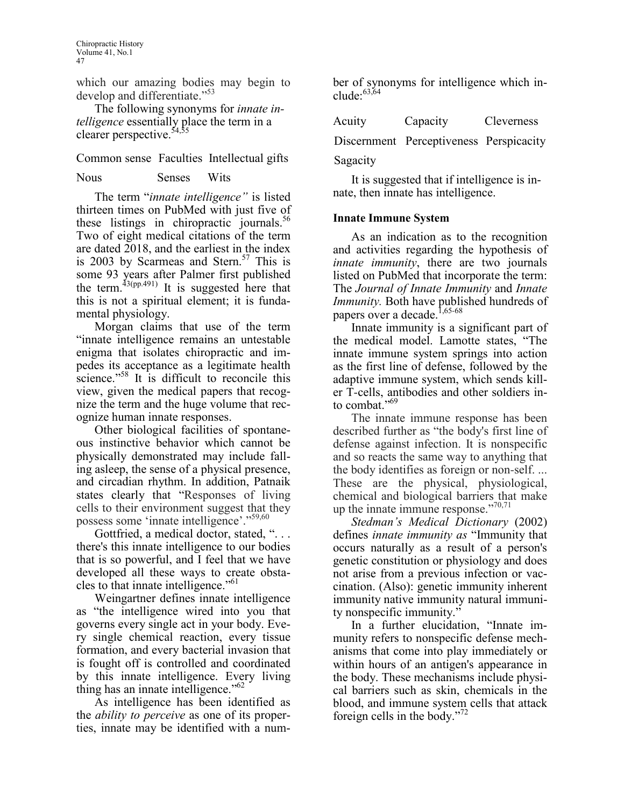which our amazing bodies may begin to develop and differentiate."<sup>53</sup>

The following synonyms for *innate in*telligence essentially place the term in a clearer perspective.<sup>54,55</sup>

Common sense Faculties Intellectual gifts

#### Nous Senses Wits

The term "*innate intelligence*" is listed thirteen times on PubMed with just five of these listings in chiropractic journals.<sup>36</sup> Two of eight medical citations of the term are dated 2018, and the earliest in the index is 2003 by Scarmeas and Stern.<sup>57</sup> This is some 93 years after Palmer first published the term.<sup>43(pp.491)</sup> It is suggested here that this is not a spiritual element; it is fundamental physiology.

Morgan claims that use of the term "innate intelligence remains an untestable enigma that isolates chiropractic and impedes its acceptance as a legitimate health science."<sup>58</sup> It is difficult to reconcile this view, given the medical papers that recognize the term and the huge volume that recognize human innate responses.

Other biological facilities of spontaneous instinctive behavior which cannot be physically demonstrated may include falling asleep, the sense of a physical presence, and circadian rhythm. In addition, Patnaik states clearly that "Responses of living cells to their environment suggest that they possess some 'innate intelligence'."<sup>59,60</sup>

Gottfried, a medical doctor, stated, "... there's this innate intelligence to our bodies that is so powerful, and I feel that we have developed all these ways to create obstacles to that innate intelligence."<sup>61</sup>

Weingartner defines innate intelligence as "the intelligence wired into you that governs every single act in your body. Every single chemical reaction, every tissue formation, and every bacterial invasion that is fought off is controlled and coordinated by this innate intelligence. Every living thing has an innate intelligence." $62$ 

As intelligence has been identified as the ability to perceive as one of its properties, innate may be identified with a number of synonyms for intelligence which include: $^{63,64}$ 

| Acuity      | Capacity | <b>Cleverness</b> |
|-------------|----------|-------------------|
| $\sim\cdot$ |          |                   |

Discernment Perceptiveness Perspicacity

Sagacity

It is suggested that if intelligence is innate, then innate has intelligence.

#### Innate Immune System

As an indication as to the recognition and activities regarding the hypothesis of innate immunity, there are two journals listed on PubMed that incorporate the term: The Journal of Innate Immunity and Innate Immunity. Both have published hundreds of papers over a decade.<sup>1,65-68</sup>

Innate immunity is a significant part of the medical model. Lamotte states, "The innate immune system springs into action as the first line of defense, followed by the adaptive immune system, which sends killer T-cells, antibodies and other soldiers into combat."<sup>69</sup>

The innate immune response has been described further as "the body's first line of defense against infection. It is nonspecific and so reacts the same way to anything that the body identifies as foreign or non-self. ... These are the physical, physiological, chemical and biological barriers that make up the innate immune response."70,71

Stedman's Medical Dictionary (2002) defines innate immunity as "Immunity that occurs naturally as a result of a person's genetic constitution or physiology and does not arise from a previous infection or vaccination. (Also): genetic immunity inherent immunity native immunity natural immunity nonspecific immunity."

In a further elucidation, "Innate immunity refers to nonspecific defense mechanisms that come into play immediately or within hours of an antigen's appearance in the body. These mechanisms include physical barriers such as skin, chemicals in the blood, and immune system cells that attack foreign cells in the body."<sup>72</sup>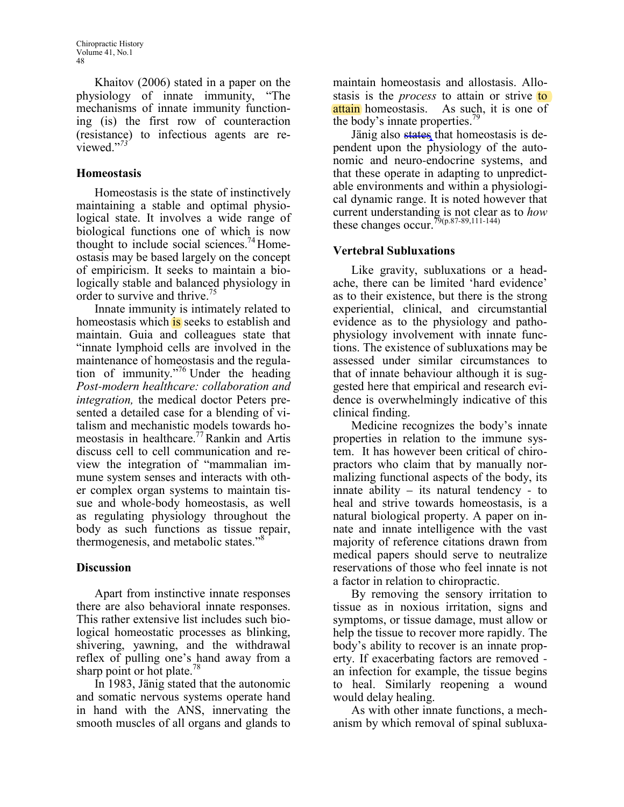Khaitov (2006) stated in a paper on the physiology of innate immunity, "The mechanisms of innate immunity functioning (is) the first row of counteraction (resistance) to infectious agents are reviewed."<sup>73</sup>

## Homeostasis

Homeostasis is the state of instinctively maintaining a stable and optimal physiological state. It involves a wide range of biological functions one of which is now thought to include social sciences.<sup>74</sup>Homeostasis may be based largely on the concept of empiricism. It seeks to maintain a biologically stable and balanced physiology in order to survive and thrive.<sup>7</sup>

Innate immunity is intimately related to homeostasis which is seeks to establish and maintain. Guia and colleagues state that "innate lymphoid cells are involved in the maintenance of homeostasis and the regulation of immunity."<sup>76</sup> Under the heading Post*-*modern healthcare: collaboration and integration, the medical doctor Peters presented a detailed case for a blending of vitalism and mechanistic models towards homeostasis in healthcare.<sup>77</sup>Rankin and Artis discuss cell to cell communication and review the integration of "mammalian immune system senses and interacts with other complex organ systems to maintain tissue and whole-body homeostasis, as well as regulating physiology throughout the body as such functions as tissue repair, thermogenesis, and metabolic states."<sup>8</sup>

## Discussion

Apart from instinctive innate responses there are also behavioral innate responses. This rather extensive list includes such biological homeostatic processes as blinking, shivering, yawning, and the withdrawal reflex of pulling one's hand away from a sharp point or hot plate.<sup>78</sup>

In 1983, Jänig stated that the autonomic and somatic nervous systems operate hand in hand with the ANS, innervating the smooth muscles of all organs and glands to

maintain homeostasis and allostasis. Allostasis is the *process* to attain or strive to attain homeostasis. As such, it is one of the body's innate properties.<sup>19</sup>

Jänig also states that homeostasis is dependent upon the physiology of the autonomic and neuro-endocrine systems, and that these operate in adapting to unpredictable environments and within a physiological dynamic range. It is noted however that current understanding is not clear as to how these changes occur.<sup>79(p.87-89,111-144)</sup>

## Vertebral Subluxations

Like gravity, subluxations or a headache, there can be limited 'hard evidence' as to their existence, but there is the strong experiential, clinical, and circumstantial evidence as to the physiology and pathophysiology involvement with innate functions. The existence of subluxations may be assessed under similar circumstances to that of innate behaviour although it is suggested here that empirical and research evidence is overwhelmingly indicative of this clinical finding.

Medicine recognizes the body's innate properties in relation to the immune system. It has however been critical of chiropractors who claim that by manually normalizing functional aspects of the body, its innate ability – its natural tendency - to heal and strive towards homeostasis, is a natural biological property. A paper on innate and innate intelligence with the vast majority of reference citations drawn from medical papers should serve to neutralize reservations of those who feel innate is not a factor in relation to chiropractic.

By removing the sensory irritation to tissue as in noxious irritation, signs and symptoms, or tissue damage, must allow or help the tissue to recover more rapidly. The body's ability to recover is an innate property. If exacerbating factors are removed an infection for example, the tissue begins to heal. Similarly reopening a wound would delay healing.

As with other innate functions, a mechanism by which removal of spinal subluxa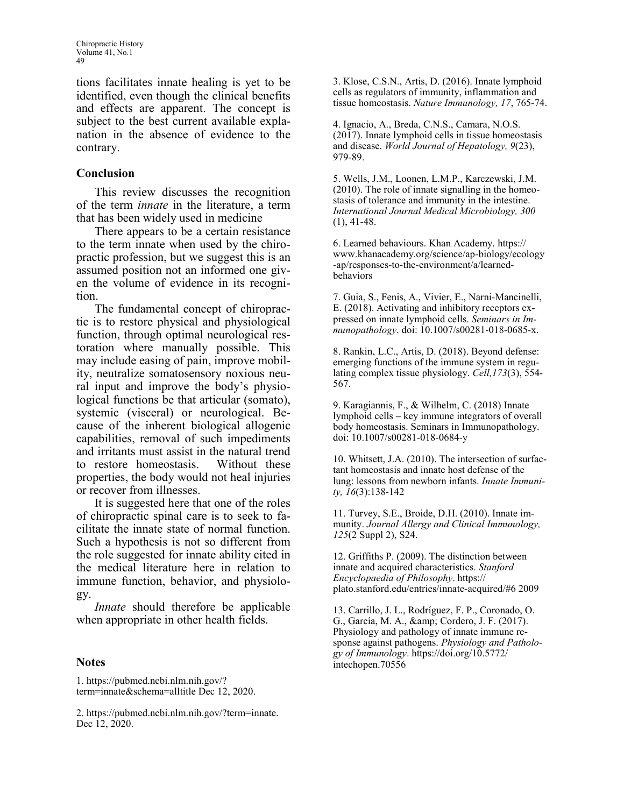tions facilitates innate healing is yet to be identified, even though the clinical benefits and effects are apparent. The concept is subject to the best current available explanation in the absence of evidence to the contrary.

#### Conclusion

This review discusses the recognition of the term innate in the literature, a term that has been widely used in medicine

There appears to be a certain resistance to the term innate when used by the chiropractic profession, but we suggest this is an assumed position not an informed one given the volume of evidence in its recognition.

The fundamental concept of chiropractic is to restore physical and physiological function, through optimal neurological restoration where manually possible. This may include easing of pain, improve mobility, neutralize somatosensory noxious neural input and improve the body's physiological functions be that articular (somato), systemic (visceral) or neurological. Because of the inherent biological allogenic capabilities, removal of such impediments and irritants must assist in the natural trend<br>to restore homeostasis. Without these to restore homeostasis. properties, the body would not heal injuries or recover from illnesses.

It is suggested here that one of the roles of chiropractic spinal care is to seek to facilitate the innate state of normal function. Such a hypothesis is not so different from the role suggested for innate ability cited in the medical literature here in relation to immune function, behavior, and physiology.

Innate should therefore be applicable when appropriate in other health fields.

#### Notes

1. https://pubmed.ncbi.nlm.nih.gov/? term=innate&schema=alltitle Dec 12, 2020. 3. Klose, C.S.N., Artis, D. (2016). Innate lymphoid cells as regulators of immunity, inflammation and tissue homeostasis. Nature Immunology, 17, 765-74.

4. Ignacio, A., Breda, C.N.S., Camara, N.O.S. (2017). Innate lymphoid cells in tissue homeostasis and disease. World Journal of Hepatology, 9(23), 979-89.

5. Wells, J.M., Loonen, L.M.P., Karczewski, J.M. (2010). The role of innate signalling in the homeostasis of tolerance and immunity in the intestine. International Journal Medical Microbiology, 300  $(1), 41-48.$ 

6. Learned behaviours. Khan Academy. https:// www.khanacademy.org/science/ap-biology/ecology -ap/responses-to-the-environment/a/learnedbehaviors

7. Guia, S., Fenis, A., Vivier, E., Narni-Mancinelli, E. (2018). Activating and inhibitory receptors expressed on innate lymphoid cells. Seminars in Immunopathology. doi: 10.1007/s00281-018-0685-x.

8. Rankin, L.C., Artis, D. (2018). Beyond defense: emerging functions of the immune system in regulating complex tissue physiology. Cell,173(3), 554- 567.

9. Karagiannis, F., & Wilhelm, C. (2018) Innate lymphoid cells – key immune integrators of overall body homeostasis. Seminars in Immunopathology. doi: 10.1007/s00281-018-0684-y

10. Whitsett, J.A. (2010). The intersection of surfactant homeostasis and innate host defense of the lung: lessons from newborn infants. Innate Immunity, 16(3):138-142

11. Turvey, S.E., Broide, D.H. (2010). Innate immunity. Journal Allergy and Clinical Immunology, 125(2 Suppl 2), S24.

12. Griffiths P. (2009). The distinction between innate and acquired characteristics. Stanford Encyclopaedia of Philosophy. https:// plato.stanford.edu/entries/innate-acquired/#6 2009

13. Carrillo, J. L., Rodríguez, F. P., Coronado, O. G., García, M. A., & amp; Cordero, J. F. (2017). Physiology and pathology of innate immune response against pathogens. Physiology and Pathology of Immunology. https://doi.org/10.5772/ intechopen.70556

<sup>2.</sup> https://pubmed.ncbi.nlm.nih.gov/?term=innate. Dec 12, 2020.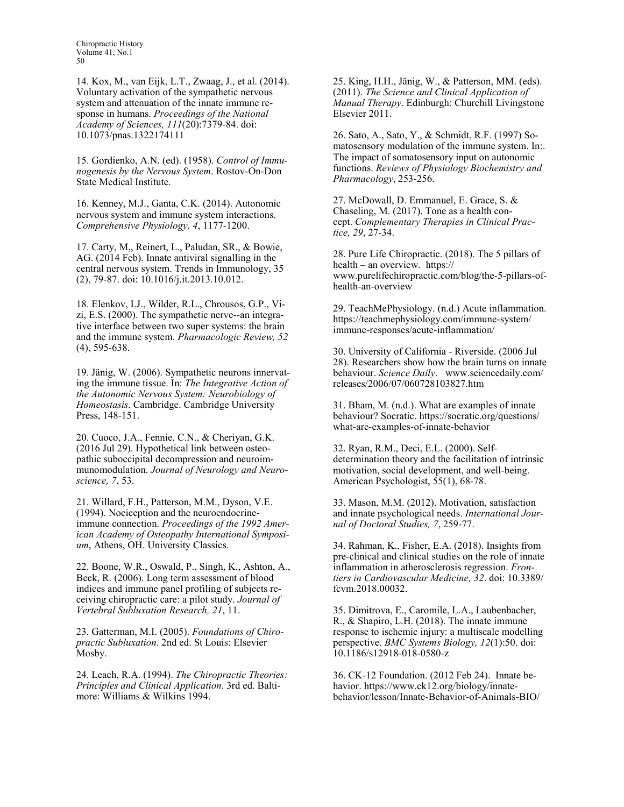14. Kox, M., van Eijk, L.T., Zwaag, J., et al. (2014). Voluntary activation of the sympathetic nervous system and attenuation of the innate immune response in humans. Proceedings of the National Academy of Sciences, 111(20):7379-84. doi: 10.1073/pnas.1322174111

15. Gordienko, A.N. (ed). (1958). Control of Immunogenesis by the Nervous System. Rostov-On-Don State Medical Institute.

16. Kenney, M.J., Ganta, C.K. (2014). Autonomic nervous system and immune system interactions. Comprehensive Physiology, 4, 1177-1200.

17. Carty, M,, Reinert, L., Paludan, SR., & Bowie, AG. (2014 Feb). Innate antiviral signalling in the central nervous system. Trends in Immunology, 35 (2), 79-87. doi: 10.1016/j.it.2013.10.012.

18. Elenkov, I.J., Wilder, R.L., Chrousos, G.P., Vizi, E.S. (2000). The sympathetic nerve--an integrative interface between two super systems: the brain and the immune system. Pharmacologic Review, 52 (4), 595-638.

19. Jänig, W. (2006). Sympathetic neurons innervating the immune tissue. In: The Integrative Action of the Autonomic Nervous System: Neurobiology of Homeostasis. Cambridge. Cambridge University Press, 148-151.

20. Cuoco, J.A., Fennie, C.N., & Cheriyan, G.K. (2016 Jul 29). Hypothetical link between osteopathic suboccipital decompression and neuroimmunomodulation. Journal of Neurology and Neuroscience, 7, 53.

21. Willard, F.H., Patterson, M.M., Dyson, V.E. (1994). Nociception and the neuroendocrineimmune connection. Proceedings of the 1992 American Academy of Osteopathy International Symposium, Athens, OH. University Classics.

22. Boone, W.R., Oswald, P., Singh, K., Ashton, A., Beck, R. (2006). Long term assessment of blood indices and immune panel profiling of subjects receiving chiropractic care: a pilot study. Journal of Vertebral Subluxation Research, 21, 11.

23. Gatterman, M.I. (2005). Foundations of Chiropractic Subluxation. 2nd ed. St Louis: Elsevier Mosby.

24. Leach, R.A. (1994). The Chiropractic Theories: Principles and Clinical Application. 3rd ed. Baltimore: Williams & Wilkins 1994.

25. King, H.H., Jänig, W., & Patterson, MM. (eds). (2011). The Science and Clinical Application of Manual Therapy. Edinburgh: Churchill Livingstone Elsevier 2011.

26. Sato, A., Sato, Y., & Schmidt, R.F. (1997) Somatosensory modulation of the immune system. In:. The impact of somatosensory input on autonomic functions. Reviews of Physiology Biochemistry and Pharmacology, 253-256.

27. McDowall, D. Emmanuel, E. Grace, S. & Chaseling, M. (2017). Tone as a health concept. Complementary Therapies in Clinical Practice, 29, 27-34.

28. Pure Life Chiropractic. (2018). The 5 pillars of health – an overview. https:// www.purelifechiropractic.com/blog/the-5-pillars-ofhealth-an-overview

29. TeachMePhysiology. (n.d.) Acute inflammation. https://teachmephysiology.com/immune-system/ immune-responses/acute-inflammation/

30. University of California - Riverside. (2006 Jul 28). Researchers show how the brain turns on innate behaviour. Science Daily. www.sciencedaily.com/ releases/2006/07/060728103827.htm

31. Bham, M. (n.d.). What are examples of innate behaviour? Socratic. https://socratic.org/questions/ what-are-examples-of-innate-behavior

32. Ryan, R.M., Deci, E.L. (2000). Selfdetermination theory and the facilitation of intrinsic motivation, social development, and well-being. American Psychologist, 55(1), 68-78.

33. Mason, M.M. (2012). Motivation, satisfaction and innate psychological needs. International Journal of Doctoral Studies, 7, 259-77.

34. Rahman, K., Fisher, E.A. (2018). Insights from pre-clinical and clinical studies on the role of innate inflammation in atherosclerosis regression. Frontiers in Cardiovascular Medicine, 32. doi: 10.3389/ fcvm.2018.00032.

35. Dimitrova, E., Caromile, L.A., Laubenbacher, R., & Shapiro, L.H. (2018). The innate immune response to ischemic injury: a multiscale modelling perspective. BMC Systems Biology, 12(1):50. doi: 10.1186/s12918-018-0580-z

36. CK-12 Foundation. (2012 Feb 24). Innate behavior. https://www.ck12.org/biology/innatebehavior/lesson/Innate-Behavior-of-Animals-BIO/